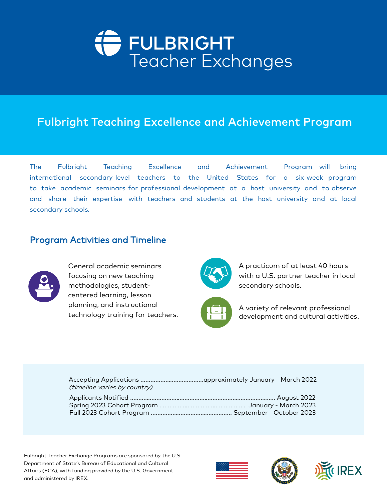

# Fulbright Teaching Excellence and Achievement Program

The Fulbright Teaching Excellence and Achievement Program will bring<br>international secondary-level teachers to the United States for a six-week program<br>to take academic seminars for professional development at a host unive

## Program Activities and Timeline



General academic seminars focusing on new teaching methodologies, student centered learning, lesson planning, and instructional technology training for teachers.



A practicum of at least 40 hours with a U.S. partner teacher in local secondary schools.



A variety of relevant professional development and cultural activities.

| (timeline varies by country) |  |
|------------------------------|--|
|                              |  |
|                              |  |
|                              |  |

Fulbright Teacher Exchange Programs are sponsored by the U.S. Department of State's Bureau of Educational and Cultural Affairs (ECA), with funding provided by the U.S. Government and administered by IREX.